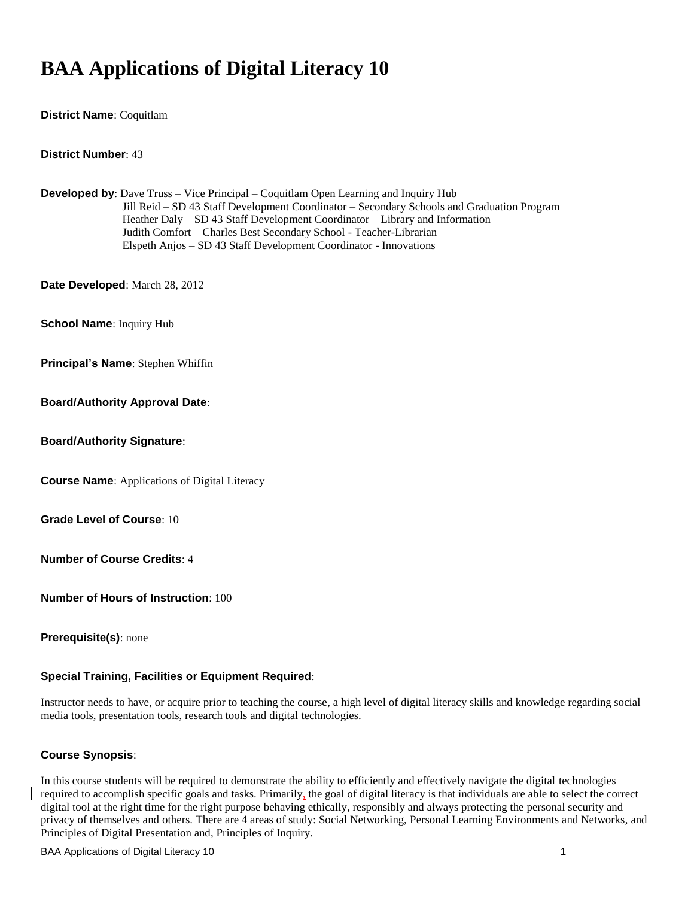# **BAA Applications of Digital Literacy 10**

**District Name**: Coquitlam

**District Number**: 43

**Developed by**: Dave Truss – Vice Principal – Coquitlam Open Learning and Inquiry Hub Jill Reid – SD 43 Staff Development Coordinator – Secondary Schools and Graduation Program Heather Daly – SD 43 Staff Development Coordinator – Library and Information Judith Comfort – Charles Best Secondary School - Teacher-Librarian Elspeth Anjos – SD 43 Staff Development Coordinator - Innovations

**Date Developed**: March 28, 2012

**School Name**: Inquiry Hub

**Principal's Name**: Stephen Whiffin

#### **Board/Authority Approval Date**:

**Board/Authority Signature**:

**Course Name**: Applications of Digital Literacy

**Grade Level of Course**: 10

**Number of Course Credits**: 4

**Number of Hours of Instruction**: 100

**Prerequisite(s)**: none

#### **Special Training, Facilities or Equipment Required**:

Instructor needs to have, or acquire prior to teaching the course, a high level of digital literacy skills and knowledge regarding social media tools, presentation tools, research tools and digital technologies.

#### **Course Synopsis**:

In this course students will be required to demonstrate the ability to efficiently and effectively navigate the digital technologies required to accomplish specific goals and tasks. Primarily, the goal of digital literacy is that individuals are able to select the correct digital tool at the right time for the right purpose behaving ethically, responsibly and always protecting the personal security and privacy of themselves and others. There are 4 areas of study: Social Networking, Personal Learning Environments and Networks, and Principles of Digital Presentation and, Principles of Inquiry.

BAA Applications of Digital Literacy 10 1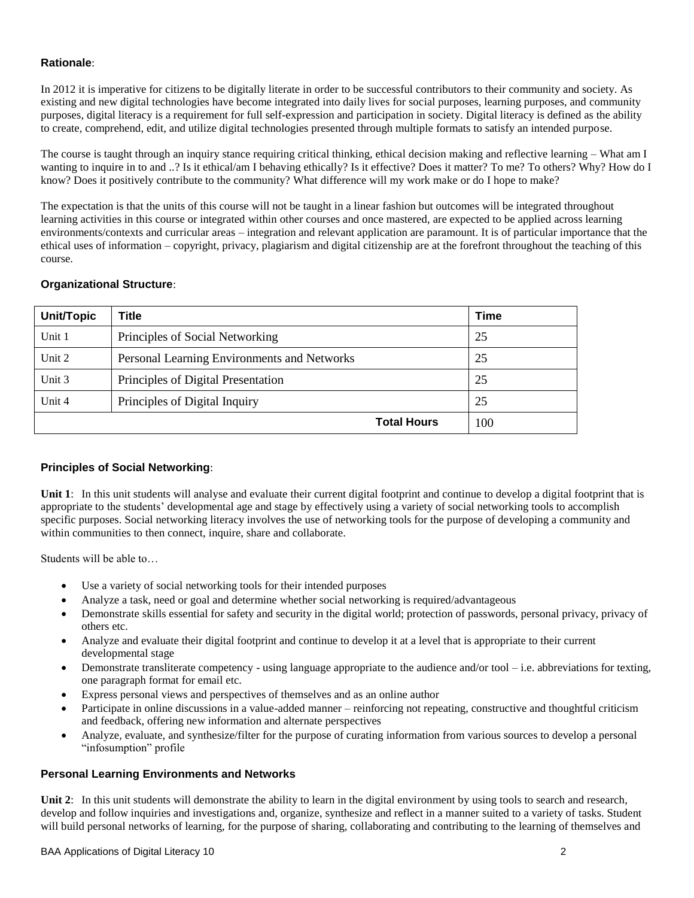## **Rationale**:

In 2012 it is imperative for citizens to be digitally literate in order to be successful contributors to their community and society. As existing and new digital technologies have become integrated into daily lives for social purposes, learning purposes, and community purposes, digital literacy is a requirement for full self-expression and participation in society. Digital literacy is defined as the ability to create, comprehend, edit, and utilize digital technologies presented through multiple formats to satisfy an intended purpose.

The course is taught through an inquiry stance requiring critical thinking, ethical decision making and reflective learning – What am I wanting to inquire in to and ..? Is it ethical/am I behaving ethically? Is it effective? Does it matter? To me? To others? Why? How do I know? Does it positively contribute to the community? What difference will my work make or do I hope to make?

The expectation is that the units of this course will not be taught in a linear fashion but outcomes will be integrated throughout learning activities in this course or integrated within other courses and once mastered, are expected to be applied across learning environments/contexts and curricular areas – integration and relevant application are paramount. It is of particular importance that the ethical uses of information – copyright, privacy, plagiarism and digital citizenship are at the forefront throughout the teaching of this course.

## **Organizational Structure**:

| <b>Unit/Topic</b> | Title                                       | Time |
|-------------------|---------------------------------------------|------|
| Unit 1            | Principles of Social Networking             | 25   |
| Unit $2$          | Personal Learning Environments and Networks | 25   |
| Unit 3            | Principles of Digital Presentation          | 25   |
| Unit 4            | Principles of Digital Inquiry               | 25   |
|                   | <b>Total Hours</b>                          | 100  |

## **Principles of Social Networking**:

**Unit 1**: In this unit students will analyse and evaluate their current digital footprint and continue to develop a digital footprint that is appropriate to the students' developmental age and stage by effectively using a variety of social networking tools to accomplish specific purposes. Social networking literacy involves the use of networking tools for the purpose of developing a community and within communities to then connect, inquire, share and collaborate.

Students will be able to…

- Use a variety of social networking tools for their intended purposes
- Analyze a task, need or goal and determine whether social networking is required/advantageous
- Demonstrate skills essential for safety and security in the digital world; protection of passwords, personal privacy, privacy of others etc.
- Analyze and evaluate their digital footprint and continue to develop it at a level that is appropriate to their current developmental stage
- Demonstrate transliterate competency using language appropriate to the audience and/or tool i.e. abbreviations for texting, one paragraph format for email etc.
- Express personal views and perspectives of themselves and as an online author
- Participate in online discussions in a value-added manner reinforcing not repeating, constructive and thoughtful criticism and feedback, offering new information and alternate perspectives
- Analyze, evaluate, and synthesize/filter for the purpose of curating information from various sources to develop a personal "infosumption" profile

## **Personal Learning Environments and Networks**

**Unit 2:** In this unit students will demonstrate the ability to learn in the digital environment by using tools to search and research, develop and follow inquiries and investigations and, organize, synthesize and reflect in a manner suited to a variety of tasks. Student will build personal networks of learning, for the purpose of sharing, collaborating and contributing to the learning of themselves and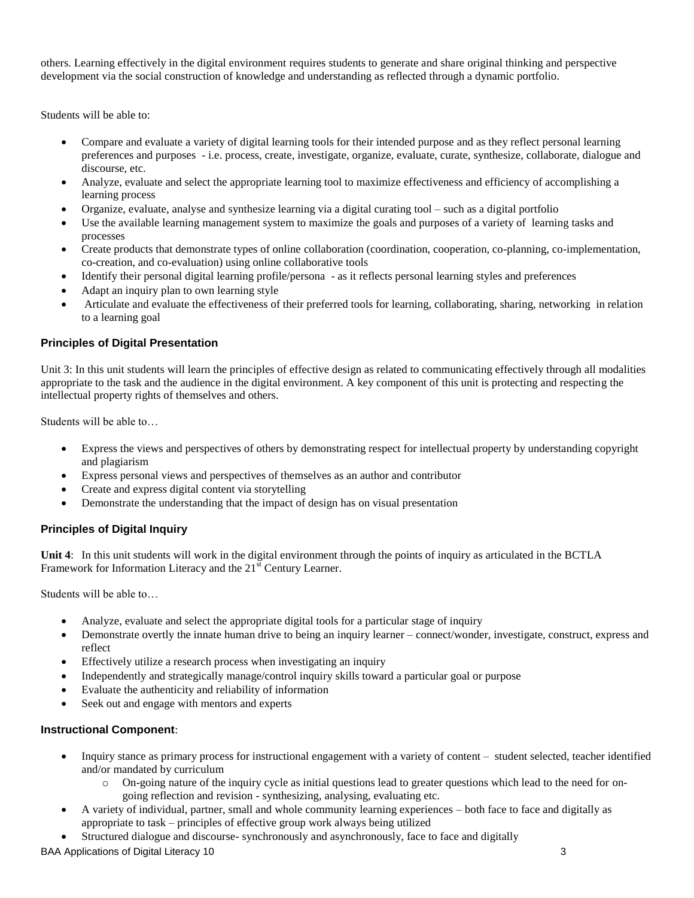others. Learning effectively in the digital environment requires students to generate and share original thinking and perspective development via the social construction of knowledge and understanding as reflected through a dynamic portfolio.

Students will be able to:

- Compare and evaluate a variety of digital learning tools for their intended purpose and as they reflect personal learning preferences and purposes - i.e. process, create, investigate, organize, evaluate, curate, synthesize, collaborate, dialogue and discourse, etc.
- Analyze, evaluate and select the appropriate learning tool to maximize effectiveness and efficiency of accomplishing a learning process
- Organize, evaluate, analyse and synthesize learning via a digital curating tool such as a digital portfolio
- Use the available learning management system to maximize the goals and purposes of a variety of learning tasks and processes
- Create products that demonstrate types of online collaboration (coordination, cooperation, co-planning, co-implementation, co-creation, and co-evaluation) using online collaborative tools
- Identify their personal digital learning profile/persona as it reflects personal learning styles and preferences
- Adapt an inquiry plan to own learning style
- Articulate and evaluate the effectiveness of their preferred tools for learning, collaborating, sharing, networking in relation to a learning goal

## **Principles of Digital Presentation**

Unit 3: In this unit students will learn the principles of effective design as related to communicating effectively through all modalities appropriate to the task and the audience in the digital environment. A key component of this unit is protecting and respecting the intellectual property rights of themselves and others.

Students will be able to…

- Express the views and perspectives of others by demonstrating respect for intellectual property by understanding copyright and plagiarism
- Express personal views and perspectives of themselves as an author and contributor
- Create and express digital content via storytelling
- Demonstrate the understanding that the impact of design has on visual presentation

## **Principles of Digital Inquiry**

**Unit 4**: In this unit students will work in the digital environment through the points of inquiry as articulated in the BCTLA Framework for Information Literacy and the 21<sup>st</sup> Century Learner.

Students will be able to…

- Analyze, evaluate and select the appropriate digital tools for a particular stage of inquiry
- Demonstrate overtly the innate human drive to being an inquiry learner connect/wonder, investigate, construct, express and reflect
- Effectively utilize a research process when investigating an inquiry
- Independently and strategically manage/control inquiry skills toward a particular goal or purpose
- Evaluate the authenticity and reliability of information
- Seek out and engage with mentors and experts

#### **Instructional Component**:

- Inquiry stance as primary process for instructional engagement with a variety of content student selected, teacher identified and/or mandated by curriculum
	- o On-going nature of the inquiry cycle as initial questions lead to greater questions which lead to the need for ongoing reflection and revision - synthesizing, analysing, evaluating etc.
- A variety of individual, partner, small and whole community learning experiences both face to face and digitally as appropriate to task – principles of effective group work always being utilized
- Structured dialogue and discourse- synchronously and asynchronously, face to face and digitally

BAA Applications of Digital Literacy 10 3 3